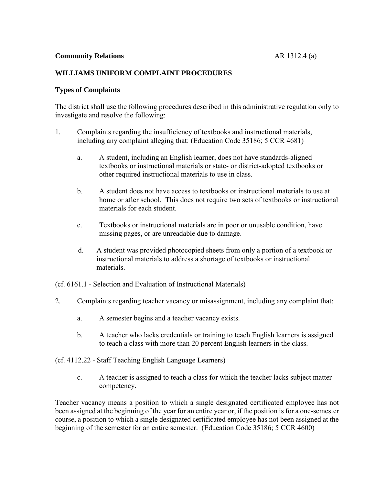# **WILLIAMS UNIFORM COMPLAINT PROCEDURES**

# **Types of Complaints**

The district shall use the following procedures described in this administrative regulation only to investigate and resolve the following:

- 1. Complaints regarding the insufficiency of textbooks and instructional materials, including any complaint alleging that: (Education Code 35186; 5 CCR 4681)
	- a. A student, including an English learner, does not have standards-aligned textbooks or instructional materials or state- or district-adopted textbooks or other required instructional materials to use in class.
	- b. A student does not have access to textbooks or instructional materials to use at home or after school. This does not require two sets of textbooks or instructional materials for each student.
	- c. Textbooks or instructional materials are in poor or unusable condition, have missing pages, or are unreadable due to damage.
	- d. A student was provided photocopied sheets from only a portion of a textbook or instructional materials to address a shortage of textbooks or instructional materials.
- (cf. 6161.1 Selection and Evaluation of Instructional Materials)
- 2. Complaints regarding teacher vacancy or misassignment, including any complaint that:
	- a. A semester begins and a teacher vacancy exists.
	- b. A teacher who lacks credentials or training to teach English learners is assigned to teach a class with more than 20 percent English learners in the class.
- (cf. 4112.22 Staff Teaching English Language Learners)
	- c. A teacher is assigned to teach a class for which the teacher lacks subject matter competency.

Teacher vacancy means a position to which a single designated certificated employee has not been assigned at the beginning of the year for an entire year or, if the position is for a one-semester course, a position to which a single designated certificated employee has not been assigned at the beginning of the semester for an entire semester. (Education Code 35186; 5 CCR 4600)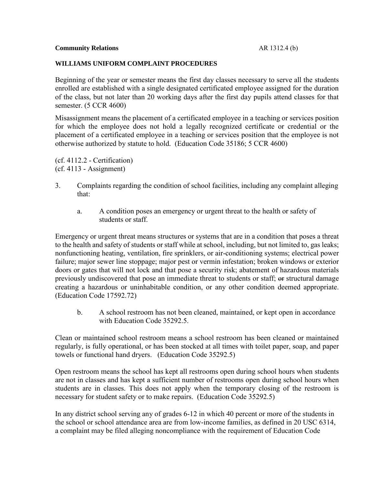## **WILLIAMS UNIFORM COMPLAINT PROCEDURES**

Beginning of the year or semester means the first day classes necessary to serve all the students enrolled are established with a single designated certificated employee assigned for the duration of the class, but not later than 20 working days after the first day pupils attend classes for that semester. (5 CCR 4600)

Misassignment means the placement of a certificated employee in a teaching or services position for which the employee does not hold a legally recognized certificate or credential or the placement of a certificated employee in a teaching or services position that the employee is not otherwise authorized by statute to hold*.* (Education Code 35186; 5 CCR 4600)

(cf. 4112.2 - Certification) (cf. 4113 - Assignment)

- 3. Complaints regarding the condition of school facilities, including any complaint alleging that:
	- a. A condition poses an emergency or urgent threat to the health or safety of students or staff.

Emergency or urgent threat means structures or systems that are in a condition that poses a threat to the health and safety of students or staff while at school, including, but not limited to, gas leaks; nonfunctioning heating, ventilation, fire sprinklers, or air-conditioning systems; electrical power failure; major sewer line stoppage; major pest or vermin infestation; broken windows or exterior doors or gates that will not lock and that pose a security risk; abatement of hazardous materials previously undiscovered that pose an immediate threat to students or staff; or structural damage creating a hazardous or uninhabitable condition, or any other condition deemed appropriate. (Education Code 17592.72)

b. A school restroom has not been cleaned, maintained, or kept open in accordance with Education Code 35292.5.

Clean or maintained school restroom means a school restroom has been cleaned or maintained regularly, is fully operational, or has been stocked at all times with toilet paper, soap, and paper towels or functional hand dryers. (Education Code 35292.5)

Open restroom means the school has kept all restrooms open during school hours when students are not in classes and has kept a sufficient number of restrooms open during school hours when students are in classes. This does not apply when the temporary closing of the restroom is necessary for student safety or to make repairs. (Education Code 35292.5)

In any district school serving any of grades 6-12 in which 40 percent or more of the students in the school or school attendance area are from low-income families, as defined in 20 USC 6314, a complaint may be filed alleging noncompliance with the requirement of Education Code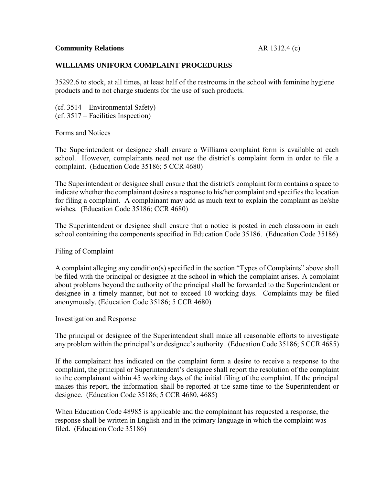# **WILLIAMS UNIFORM COMPLAINT PROCEDURES**

35292.6 to stock, at all times, at least half of the restrooms in the school with feminine hygiene products and to not charge students for the use of such products.

(cf. 3514 – Environmental Safety) (cf. 3517 – Facilities Inspection)

Forms and Notices

The Superintendent or designee shall ensure a Williams complaint form is available at each school. However, complainants need not use the district's complaint form in order to file a complaint. (Education Code 35186; 5 CCR 4680)

The Superintendent or designee shall ensure that the district's complaint form contains a space to indicate whether the complainant desires a response to his/her complaint and specifies the location for filing a complaint. A complainant may add as much text to explain the complaint as he/she wishes*.* (Education Code 35186; CCR 4680)

The Superintendent or designee shall ensure that a notice is posted in each classroom in each school containing the components specified in Education Code 35186. (Education Code 35186)

Filing of Complaint

A complaint alleging any condition(s) specified in the section "Types of Complaints" above shall be filed with the principal or designee at the school in which the complaint arises. A complaint about problems beyond the authority of the principal shall be forwarded to the Superintendent or designee in a timely manner, but not to exceed 10 working days. Complaints may be filed anonymously. (Education Code 35186; 5 CCR 4680)

Investigation and Response

The principal or designee of the Superintendent shall make all reasonable efforts to investigate any problem within the principal's or designee's authority. (Education Code 35186; 5 CCR 4685)

If the complainant has indicated on the complaint form a desire to receive a response to the complaint, the principal or Superintendent's designee shall report the resolution of the complaint to the complainant within 45 working days of the initial filing of the complaint. If the principal makes this report, the information shall be reported at the same time to the Superintendent or designee. (Education Code 35186; 5 CCR 4680, 4685)

When Education Code 48985 is applicable and the complainant has requested a response, the response shall be written in English and in the primary language in which the complaint was filed. (Education Code 35186)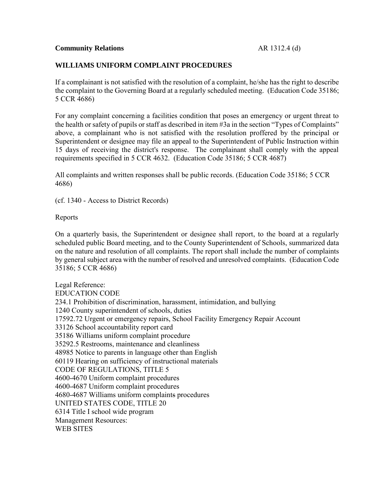## **Community Relations Community Relations AR 1312.4 (d)**

## **WILLIAMS UNIFORM COMPLAINT PROCEDURES**

If a complainant is not satisfied with the resolution of a complaint, he/she has the right to describe the complaint to the Governing Board at a regularly scheduled meeting. (Education Code 35186; 5 CCR 4686)

For any complaint concerning a facilities condition that poses an emergency or urgent threat to the health or safety of pupils or staff as described in item #3a in the section "Types of Complaints" above, a complainant who is not satisfied with the resolution proffered by the principal or Superintendent or designee may file an appeal to the Superintendent of Public Instruction within 15 days of receiving the district's response. The complainant shall comply with the appeal requirements specified in 5 CCR 4632. (Education Code 35186; 5 CCR 4687)

All complaints and written responses shall be public records. (Education Code 35186; 5 CCR 4686)

(cf. 1340 - Access to District Records)

Reports

On a quarterly basis, the Superintendent or designee shall report, to the board at a regularly scheduled public Board meeting, and to the County Superintendent of Schools, summarized data on the nature and resolution of all complaints. The report shall include the number of complaints by general subject area with the number of resolved and unresolved complaints. (Education Code 35186; 5 CCR 4686)

Legal Reference: EDUCATION CODE 234.1 Prohibition of discrimination, harassment, intimidation, and bullying 1240 County superintendent of schools, duties 17592.72 Urgent or emergency repairs, School Facility Emergency Repair Account 33126 School accountability report card 35186 Williams uniform complaint procedure 35292.5 Restrooms, maintenance and cleanliness 48985 Notice to parents in language other than English 60119 Hearing on sufficiency of instructional materials CODE OF REGULATIONS, TITLE 5 4600-4670 Uniform complaint procedures 4600-4687 Uniform complaint procedures 4680-4687 Williams uniform complaints procedures UNITED STATES CODE, TITLE 20 6314 Title I school wide program Management Resources: WEB SITES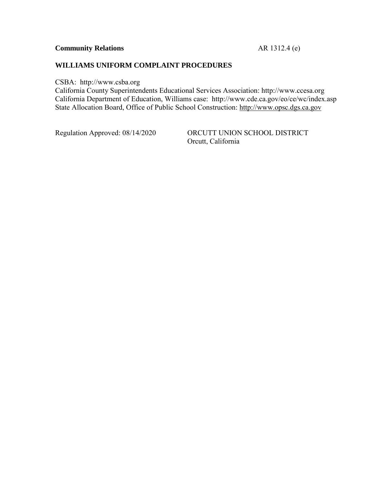# **Community Relations** AR 1312.4 (e)

# **WILLIAMS UNIFORM COMPLAINT PROCEDURES**

CSBA: http://www.csba.org

California County Superintendents Educational Services Association: http://www.ccesa.org California Department of Education, Williams case: http://www.cde.ca.gov/eo/ce/wc/index.asp State Allocation Board, Office of Public School Construction: http://www.opsc.dgs.ca.gov

Regulation Approved: 08/14/2020 ORCUTT UNION SCHOOL DISTRICT Orcutt, California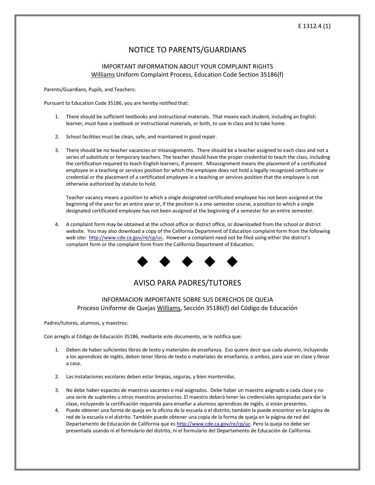## E 1312.4 (1)

# NOTICE TO PARENTS/GUARDIANS

#### IMPORTANT INFORMATION ABOUT YOUR COMPLAINT RIGHTS Williams Uniform Complaint Process, Education Code Section 35186(f)

Parents/Guardians, Pupils, and Teachers:

Pursuant to Education Code 35186, you are hereby notified that:

- 1. There should be sufficient textbooks and instructional materials. That means each student, including an English learner, must have a textbook or instructional materials, or both, to use in class and to take home.
- 2. School facilities must be clean, safe, and maintained in good repair.
- 3. There should be no teacher vacancies or misassignments. There should be a teacher assigned to each class and not a series of substitute or temporary teachers. The teacher should have the proper credential to teach the class, including the certification required to teach English learners, if present. Misassignment means the placement of a certificated employee in a teaching or services position for which the employee does not hold a legally recognized certificate or credential or the placement of a certificated employee in a teaching or services position that the employee is not otherwise authorized by statute to hold.

Teacher vacancy means a position to which a single designated certificated employee has not been assigned at the beginning of the year for an entire year or, if the position is a one-semester course, a position to which a single designated certificated employee has not been assigned at the beginning of a semester for an entire semester.

4. A complaint form may be obtained at the school office or district office, or downloaded from the school or district website. You may also download a copy of the California Department of Education complaint form from the following web site: http://www.cde.ca.gov/re/cp/uc. However a complaint need not be filed using either the district's complaint form or the complaint form from the California Department of Education.



# AVISO PARA PADRES/TUTORES

## INFORMACION IMPORTANTE SOBRE SUS DERECHOS DE QUEJA Proceso Uniforme de Quejas Williams, Sección 35186(f) del Código de Educación

Padres/tutores, alumnos, y maestros:

Con arreglo al Código de Educación 35186, mediante este documento, se le notifica que:

- 1. Deben de haber suficientes libros de texto y materiales de enseñanza. Eso quiere decir que cada alumno, incluyendo a los aprendices de inglés, deben tener libros de texto o materiales de enseñanza, o ambos, para usar en clase y llevar a casa.
- 2. Las instalaciones escolares deben estar limpias, seguras, y bien mantenidas.
- 3. No debe haber espacios de maestros vacantes o mal asignados. Debe haber un maestro asignado a cada clase y no una serie de suplentes u otros maestros provisorios. El maestro deberá tener las credenciales apropiadas para dar la clase, incluyendo la certificación requerida para enseñar a alumnos aprendices de inglés, si están presentes.
- 4. Puede obtener una forma de queja en la oficina de la escuela o el distrito, también la puede encontrar en la página de red de la escuela o el distrito. También puede obtener una copia de la forma de queja en la página de red del Departamento de Educación de California que es http://www.cde.ca.gov/re/cp/uc. Pero la queja no debe ser presentada usando ni el formulario del distrito, ni el formulario del Departamento de Educación de California.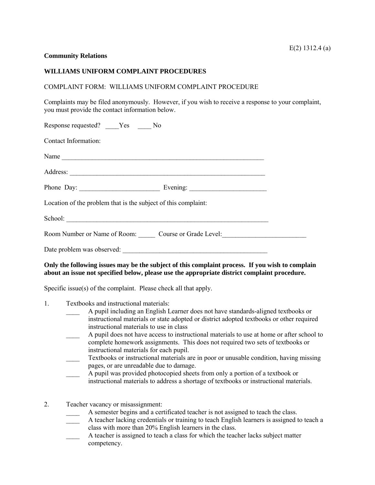#### **Community Relations**

#### **WILLIAMS UNIFORM COMPLAINT PROCEDURES**

#### COMPLAINT FORM: WILLIAMS UNIFORM COMPLAINT PROCEDURE

Complaints may be filed anonymously. However, if you wish to receive a response to your complaint, you must provide the contact information below.

| Response requested? _____Yes ______No                          |  |
|----------------------------------------------------------------|--|
| Contact Information:                                           |  |
| Name                                                           |  |
|                                                                |  |
|                                                                |  |
| Location of the problem that is the subject of this complaint: |  |
|                                                                |  |
| Room Number or Name of Room: Course or Grade Level:            |  |
| Date problem was observed:                                     |  |

## **Only the following issues may be the subject of this complaint process. If you wish to complain about an issue not specified below, please use the appropriate district complaint procedure.**

Specific issue(s) of the complaint. Please check all that apply.

- 1. Textbooks and instructional materials:
	- A pupil including an English Learner does not have standards-aligned textbooks or instructional materials or state adopted or district adopted textbooks or other required instructional materials to use in class
	- \_\_\_\_ A pupil does not have access to instructional materials to use at home or after school to complete homework assignments. This does not required two sets of textbooks or instructional materials for each pupil.
	- \_\_\_\_ Textbooks or instructional materials are in poor or unusable condition, having missing pages, or are unreadable due to damage.
	- A pupil was provided photocopied sheets from only a portion of a textbook or instructional materials to address a shortage of textbooks or instructional materials.
- 2. Teacher vacancy or misassignment:
	- A semester begins and a certificated teacher is not assigned to teach the class.
	- \_\_\_\_ A teacher lacking credentials or training to teach English learners is assigned to teach a class with more than 20% English learners in the class.
	- A teacher is assigned to teach a class for which the teacher lacks subject matter competency.